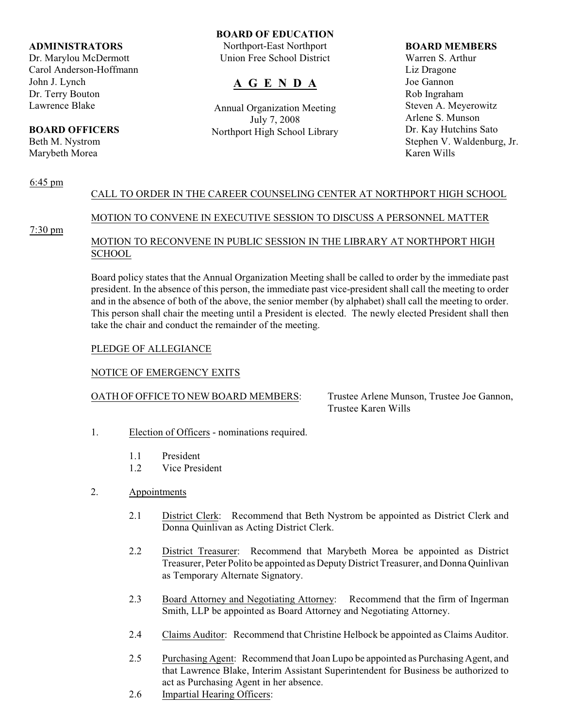## **ADMINISTRATORS**

Dr. Marylou McDermott Carol Anderson-Hoffmann John J. Lynch Dr. Terry Bouton Lawrence Blake

# **BOARD OFFICERS**

Beth M. Nystrom Marybeth Morea

### **BOARD OF EDUCATION**

Northport-East Northport Union Free School District

# **A G E N D A**

Annual Organization Meeting July 7, 2008 Northport High School Library

#### **BOARD MEMBERS**

Warren S. Arthur Liz Dragone Joe Gannon Rob Ingraham Steven A. Meyerowitz Arlene S. Munson Dr. Kay Hutchins Sato Stephen V. Waldenburg, Jr. Karen Wills

### 6:45 pm CALL TO ORDER IN THE CAREER COUNSELING CENTER AT NORTHPORT HIGH SCHOOL

# MOTION TO CONVENE IN EXECUTIVE SESSION TO DISCUSS A PERSONNEL MATTER

7:30 pm

# MOTION TO RECONVENE IN PUBLIC SESSION IN THE LIBRARY AT NORTHPORT HIGH **SCHOOL**

Board policy states that the Annual Organization Meeting shall be called to order by the immediate past president. In the absence of this person, the immediate past vice-president shall call the meeting to order and in the absence of both of the above, the senior member (by alphabet) shall call the meeting to order. This person shall chair the meeting until a President is elected. The newly elected President shall then take the chair and conduct the remainder of the meeting.

# PLEDGE OF ALLEGIANCE

# NOTICE OF EMERGENCY EXITS

# OATH OF OFFICE TO NEW BOARD MEMBERS: Trustee Arlene Munson, Trustee Joe Gannon,

Trustee Karen Wills

- 1. Election of Officers nominations required.
	- 1.1 President
	- 1.2 Vice President
- 2. Appointments
	- 2.1 District Clerk: Recommend that Beth Nystrom be appointed as District Clerk and Donna Quinlivan as Acting District Clerk.
	- 2.2 District Treasurer: Recommend that Marybeth Morea be appointed as District Treasurer, Peter Polito be appointed as Deputy District Treasurer, and Donna Quinlivan as Temporary Alternate Signatory.
	- 2.3 Board Attorney and Negotiating Attorney: Recommend that the firm of Ingerman Smith, LLP be appointed as Board Attorney and Negotiating Attorney.
	- 2.4 Claims Auditor: Recommend that Christine Helbock be appointed as Claims Auditor.
	- 2.5 Purchasing Agent: Recommend that Joan Lupo be appointed as Purchasing Agent, and that Lawrence Blake, Interim Assistant Superintendent for Business be authorized to act as Purchasing Agent in her absence.
	- 2.6 Impartial Hearing Officers: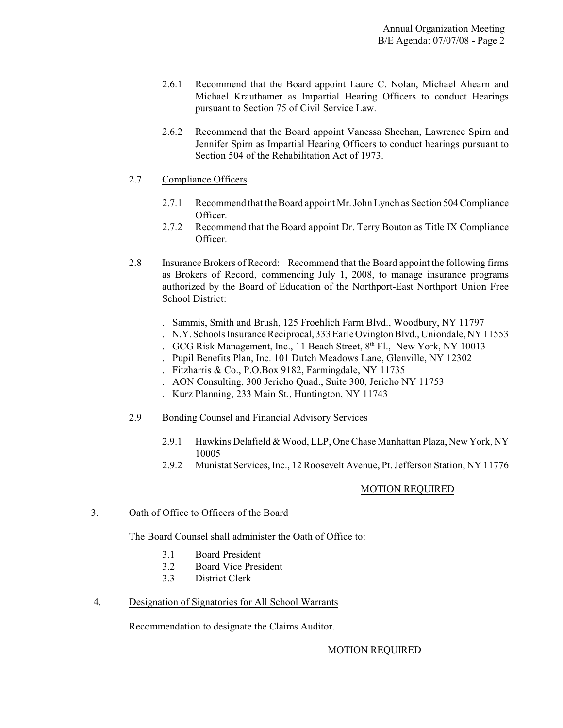- 2.6.1 Recommend that the Board appoint Laure C. Nolan, Michael Ahearn and Michael Krauthamer as Impartial Hearing Officers to conduct Hearings pursuant to Section 75 of Civil Service Law.
- 2.6.2 Recommend that the Board appoint Vanessa Sheehan, Lawrence Spirn and Jennifer Spirn as Impartial Hearing Officers to conduct hearings pursuant to Section 504 of the Rehabilitation Act of 1973.

# 2.7 Compliance Officers

- 2.7.1 Recommend that the Board appoint Mr. John Lynch as Section 504 Compliance Officer.
- 2.7.2 Recommend that the Board appoint Dr. Terry Bouton as Title IX Compliance Officer.
- 2.8 Insurance Brokers of Record: Recommend that the Board appoint the following firms as Brokers of Record, commencing July 1, 2008, to manage insurance programs authorized by the Board of Education of the Northport-East Northport Union Free School District:
	- . Sammis, Smith and Brush, 125 Froehlich Farm Blvd., Woodbury, NY 11797
	- . N.Y.Schools Insurance Reciprocal, 333 Earle Ovington Blvd.,Uniondale,NY 11553
	- . GCG Risk Management, Inc., 11 Beach Street, 8th Fl., New York, NY 10013
	- . Pupil Benefits Plan, Inc. 101 Dutch Meadows Lane, Glenville, NY 12302
	- . Fitzharris & Co., P.O.Box 9182, Farmingdale, NY 11735
	- . AON Consulting, 300 Jericho Quad., Suite 300, Jericho NY 11753
	- . Kurz Planning, 233 Main St., Huntington, NY 11743
- 2.9 Bonding Counsel and Financial Advisory Services
	- 2.9.1 Hawkins Delafield & Wood, LLP, One Chase Manhattan Plaza, New York, NY 10005
	- 2.9.2 Munistat Services, Inc., 12 Roosevelt Avenue, Pt. Jefferson Station, NY 11776

# MOTION REQUIRED

# 3. Oath of Office to Officers of the Board

The Board Counsel shall administer the Oath of Office to:

- 3.1 Board President
- 3.2 Board Vice President
- 3.3 District Clerk
- 4. Designation of Signatories for All School Warrants

Recommendation to designate the Claims Auditor.

# MOTION REQUIRED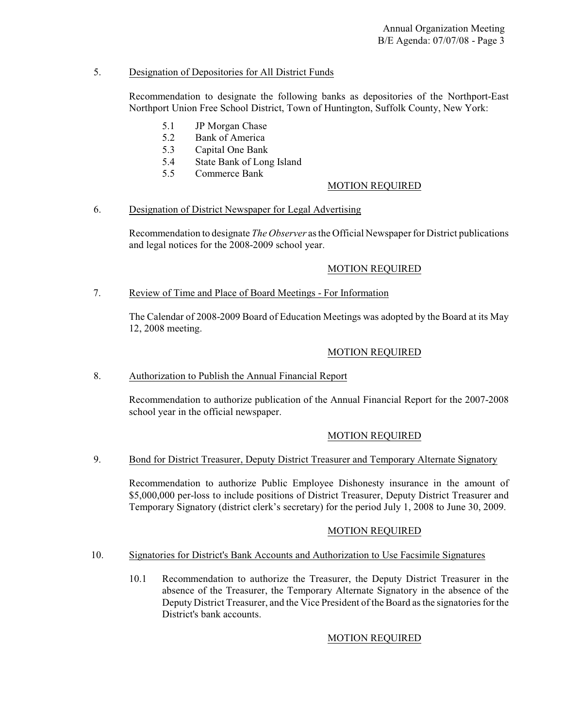# 5. Designation of Depositories for All District Funds

Recommendation to designate the following banks as depositories of the Northport-East Northport Union Free School District, Town of Huntington, Suffolk County, New York:

- 5.1 JP Morgan Chase
- 5.2 Bank of America
- 5.3 Capital One Bank
- 5.4 State Bank of Long Island
- 5.5 Commerce Bank

# MOTION REQUIRED

### 6. Designation of District Newspaper for Legal Advertising

Recommendation to designate *The Observer* as the Official Newspaper for District publications and legal notices for the 2008-2009 school year.

# MOTION REQUIRED

# 7. Review of Time and Place of Board Meetings - For Information

The Calendar of 2008-2009 Board of Education Meetings was adopted by the Board at its May 12, 2008 meeting.

### MOTION REQUIRED

# 8. Authorization to Publish the Annual Financial Report

Recommendation to authorize publication of the Annual Financial Report for the 2007-2008 school year in the official newspaper.

# MOTION REQUIRED

# 9. Bond for District Treasurer, Deputy District Treasurer and Temporary Alternate Signatory

Recommendation to authorize Public Employee Dishonesty insurance in the amount of \$5,000,000 per-loss to include positions of District Treasurer, Deputy District Treasurer and Temporary Signatory (district clerk's secretary) for the period July 1, 2008 to June 30, 2009.

# MOTION REQUIRED

#### 10. Signatories for District's Bank Accounts and Authorization to Use Facsimile Signatures

10.1 Recommendation to authorize the Treasurer, the Deputy District Treasurer in the absence of the Treasurer, the Temporary Alternate Signatory in the absence of the Deputy District Treasurer, and the Vice President of the Board as the signatories for the District's bank accounts.

#### MOTION REQUIRED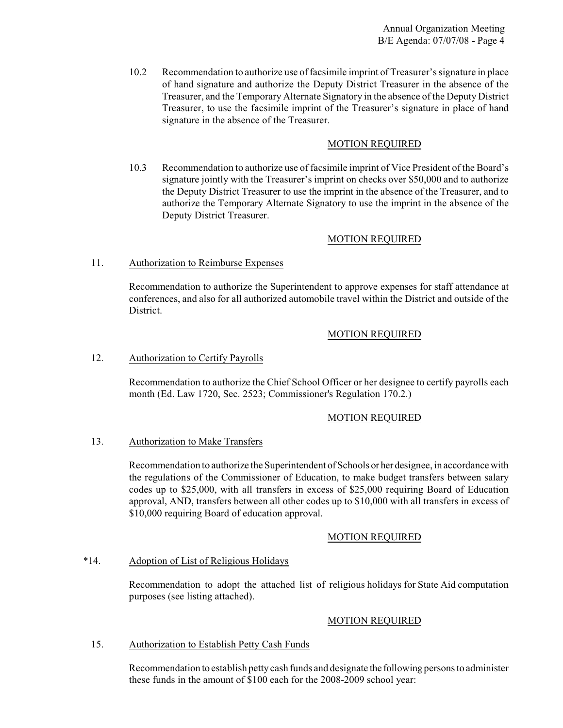10.2 Recommendation to authorize use of facsimile imprint of Treasurer's signature in place of hand signature and authorize the Deputy District Treasurer in the absence of the Treasurer, and the Temporary Alternate Signatory in the absence of the Deputy District Treasurer, to use the facsimile imprint of the Treasurer's signature in place of hand signature in the absence of the Treasurer.

# MOTION REQUIRED

10.3 Recommendation to authorize use of facsimile imprint of Vice President of the Board's signature jointly with the Treasurer's imprint on checks over \$50,000 and to authorize the Deputy District Treasurer to use the imprint in the absence of the Treasurer, and to authorize the Temporary Alternate Signatory to use the imprint in the absence of the Deputy District Treasurer.

# MOTION REQUIRED

# 11. Authorization to Reimburse Expenses

Recommendation to authorize the Superintendent to approve expenses for staff attendance at conferences, and also for all authorized automobile travel within the District and outside of the District.

### MOTION REQUIRED

#### 12. Authorization to Certify Payrolls

Recommendation to authorize the Chief School Officer or her designee to certify payrolls each month (Ed. Law 1720, Sec. 2523; Commissioner's Regulation 170.2.)

#### MOTION REQUIRED

#### 13. Authorization to Make Transfers

Recommendation to authorize the Superintendent of Schools or her designee, in accordance with the regulations of the Commissioner of Education, to make budget transfers between salary codes up to \$25,000, with all transfers in excess of \$25,000 requiring Board of Education approval, AND, transfers between all other codes up to \$10,000 with all transfers in excess of \$10,000 requiring Board of education approval.

#### MOTION REQUIRED

#### \*14. Adoption of List of Religious Holidays

Recommendation to adopt the attached list of religious holidays for State Aid computation purposes (see listing attached).

# MOTION REQUIRED

#### 15. Authorization to Establish Petty Cash Funds

Recommendation to establish petty cash funds and designate the following persons to administer these funds in the amount of \$100 each for the 2008-2009 school year: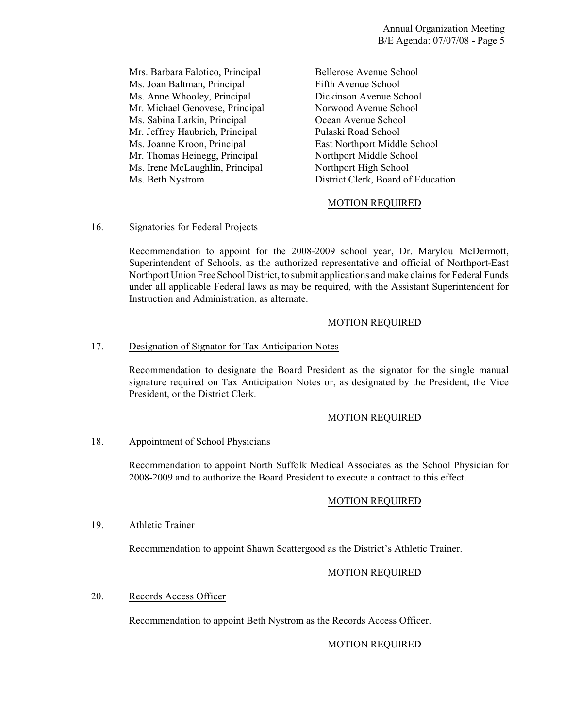Mrs. Barbara Falotico, Principal Bellerose Avenue School Ms. Joan Baltman, Principal Fifth Avenue School Ms. Anne Whooley, Principal Dickinson Avenue School Mr. Michael Genovese, Principal Norwood Avenue School Ms. Sabina Larkin, Principal Ocean Avenue School<br>Mr. Jeffrey Haubrich, Principal Pulaski Road School Mr. Jeffrey Haubrich, Principal Ms. Joanne Kroon, Principal East Northport Middle School Mr. Thomas Heinegg, Principal Northport Middle School Ms. Irene McLaughlin, Principal Northport High School

Ms. Beth Nystrom District Clerk, Board of Education

# MOTION REQUIRED

### 16. Signatories for Federal Projects

Recommendation to appoint for the 2008-2009 school year, Dr. Marylou McDermott, Superintendent of Schools, as the authorized representative and official of Northport-East Northport Union Free School District, to submit applications and make claims for Federal Funds under all applicable Federal laws as may be required, with the Assistant Superintendent for Instruction and Administration, as alternate.

### MOTION REQUIRED

### 17. Designation of Signator for Tax Anticipation Notes

Recommendation to designate the Board President as the signator for the single manual signature required on Tax Anticipation Notes or, as designated by the President, the Vice President, or the District Clerk.

#### MOTION REQUIRED

#### 18. Appointment of School Physicians

Recommendation to appoint North Suffolk Medical Associates as the School Physician for 2008-2009 and to authorize the Board President to execute a contract to this effect.

#### MOTION REQUIRED

#### 19. Athletic Trainer

Recommendation to appoint Shawn Scattergood as the District's Athletic Trainer.

#### MOTION REQUIRED

#### 20. Records Access Officer

Recommendation to appoint Beth Nystrom as the Records Access Officer.

#### MOTION REQUIRED